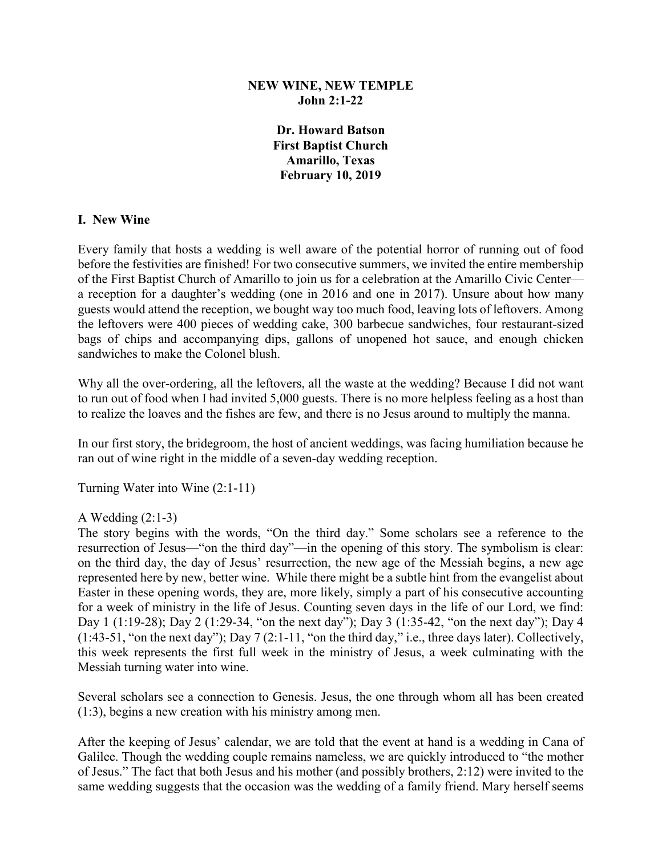### **NEW WINE, NEW TEMPLE John 2:1-22**

**Dr. Howard Batson First Baptist Church Amarillo, Texas February 10, 2019**

### **I. New Wine**

Every family that hosts a wedding is well aware of the potential horror of running out of food before the festivities are finished! For two consecutive summers, we invited the entire membership of the First Baptist Church of Amarillo to join us for a celebration at the Amarillo Civic Center a reception for a daughter's wedding (one in 2016 and one in 2017). Unsure about how many guests would attend the reception, we bought way too much food, leaving lots of leftovers. Among the leftovers were 400 pieces of wedding cake, 300 barbecue sandwiches, four restaurant-sized bags of chips and accompanying dips, gallons of unopened hot sauce, and enough chicken sandwiches to make the Colonel blush.

Why all the over-ordering, all the leftovers, all the waste at the wedding? Because I did not want to run out of food when I had invited 5,000 guests. There is no more helpless feeling as a host than to realize the loaves and the fishes are few, and there is no Jesus around to multiply the manna.

In our first story, the bridegroom, the host of ancient weddings, was facing humiliation because he ran out of wine right in the middle of a seven-day wedding reception.

Turning Water into Wine (2:1-11)

### A Wedding  $(2:1-3)$

The story begins with the words, "On the third day." Some scholars see a reference to the resurrection of Jesus—"on the third day"—in the opening of this story. The symbolism is clear: on the third day, the day of Jesus' resurrection, the new age of the Messiah begins, a new age represented here by new, better wine. While there might be a subtle hint from the evangelist about Easter in these opening words, they are, more likely, simply a part of his consecutive accounting for a week of ministry in the life of Jesus. Counting seven days in the life of our Lord, we find: Day 1 (1:19-28); Day 2 (1:29-34, "on the next day"); Day 3 (1:35-42, "on the next day"); Day 4 (1:43-51, "on the next day"); Day 7 (2:1-11, "on the third day," i.e., three days later). Collectively, this week represents the first full week in the ministry of Jesus, a week culminating with the Messiah turning water into wine.

Several scholars see a connection to Genesis. Jesus, the one through whom all has been created (1:3), begins a new creation with his ministry among men.

After the keeping of Jesus' calendar, we are told that the event at hand is a wedding in Cana of Galilee. Though the wedding couple remains nameless, we are quickly introduced to "the mother of Jesus." The fact that both Jesus and his mother (and possibly brothers, 2:12) were invited to the same wedding suggests that the occasion was the wedding of a family friend. Mary herself seems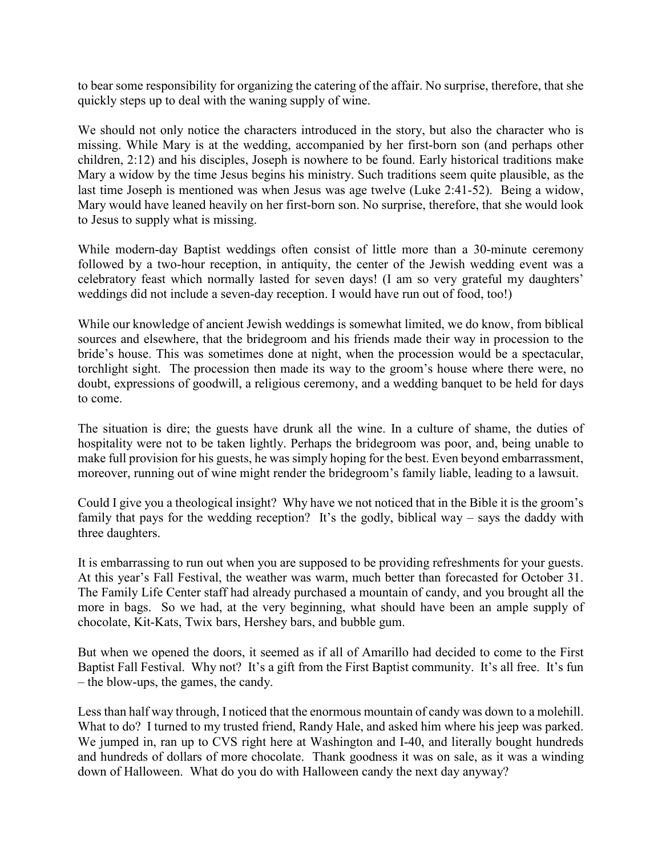to bear some responsibility for organizing the catering of the affair. No surprise, therefore, that she quickly steps up to deal with the waning supply of wine.

We should not only notice the characters introduced in the story, but also the character who is missing. While Mary is at the wedding, accompanied by her first-born son (and perhaps other children, 2:12) and his disciples, Joseph is nowhere to be found. Early historical traditions make Mary a widow by the time Jesus begins his ministry. Such traditions seem quite plausible, as the last time Joseph is mentioned was when Jesus was age twelve (Luke 2:41-52). Being a widow, Mary would have leaned heavily on her first-born son. No surprise, therefore, that she would look to Jesus to supply what is missing.

While modern-day Baptist weddings often consist of little more than a 30-minute ceremony followed by a two-hour reception, in antiquity, the center of the Jewish wedding event was a celebratory feast which normally lasted for seven days! (I am so very grateful my daughters' weddings did not include a seven-day reception. I would have run out of food, too!)

While our knowledge of ancient Jewish weddings is somewhat limited, we do know, from biblical sources and elsewhere, that the bridegroom and his friends made their way in procession to the bride's house. This was sometimes done at night, when the procession would be a spectacular, torchlight sight. The procession then made its way to the groom's house where there were, no doubt, expressions of goodwill, a religious ceremony, and a wedding banquet to be held for days to come.

The situation is dire; the guests have drunk all the wine. In a culture of shame, the duties of hospitality were not to be taken lightly. Perhaps the bridegroom was poor, and, being unable to make full provision for his guests, he was simply hoping for the best. Even beyond embarrassment, moreover, running out of wine might render the bridegroom's family liable, leading to a lawsuit.

Could I give you a theological insight? Why have we not noticed that in the Bible it is the groom's family that pays for the wedding reception? It's the godly, biblical way  $-$  says the daddy with three daughters.

It is embarrassing to run out when you are supposed to be providing refreshments for your guests. At this year's Fall Festival, the weather was warm, much better than forecasted for October 31. The Family Life Center staff had already purchased a mountain of candy, and you brought all the more in bags. So we had, at the very beginning, what should have been an ample supply of chocolate, Kit-Kats, Twix bars, Hershey bars, and bubble gum.

But when we opened the doors, it seemed as if all of Amarillo had decided to come to the First Baptist Fall Festival. Why not? It's a gift from the First Baptist community. It's all free. It's fun – the blow-ups, the games, the candy.

Less than half way through, I noticed that the enormous mountain of candy was down to a molehill. What to do? I turned to my trusted friend, Randy Hale, and asked him where his jeep was parked. We jumped in, ran up to CVS right here at Washington and I-40, and literally bought hundreds and hundreds of dollars of more chocolate. Thank goodness it was on sale, as it was a winding down of Halloween. What do you do with Halloween candy the next day anyway?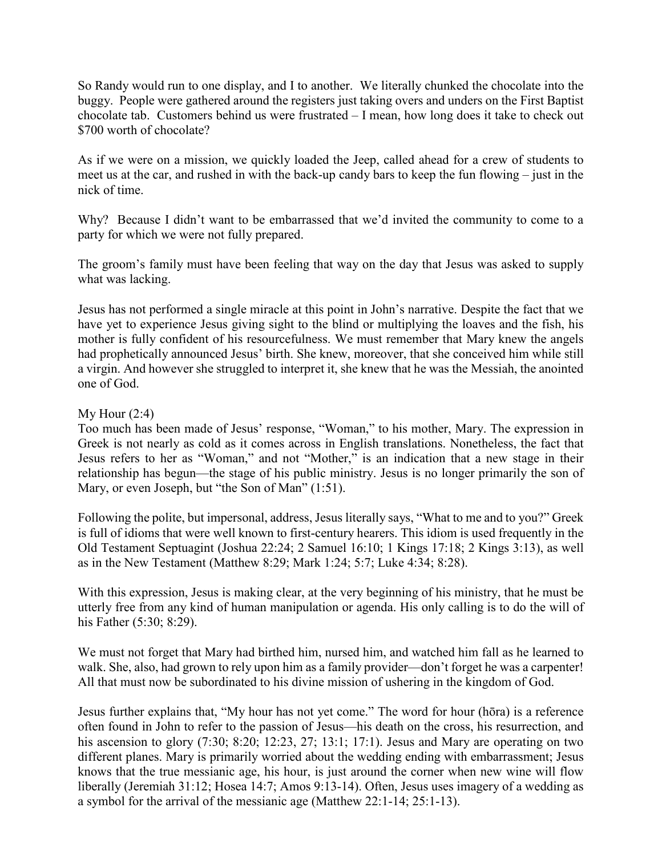So Randy would run to one display, and I to another. We literally chunked the chocolate into the buggy. People were gathered around the registers just taking overs and unders on the First Baptist chocolate tab. Customers behind us were frustrated – I mean, how long does it take to check out \$700 worth of chocolate?

As if we were on a mission, we quickly loaded the Jeep, called ahead for a crew of students to meet us at the car, and rushed in with the back-up candy bars to keep the fun flowing – just in the nick of time.

Why? Because I didn't want to be embarrassed that we'd invited the community to come to a party for which we were not fully prepared.

The groom's family must have been feeling that way on the day that Jesus was asked to supply what was lacking.

Jesus has not performed a single miracle at this point in John's narrative. Despite the fact that we have yet to experience Jesus giving sight to the blind or multiplying the loaves and the fish, his mother is fully confident of his resourcefulness. We must remember that Mary knew the angels had prophetically announced Jesus' birth. She knew, moreover, that she conceived him while still a virgin. And however she struggled to interpret it, she knew that he was the Messiah, the anointed one of God.

### My Hour  $(2:4)$

Too much has been made of Jesus' response, "Woman," to his mother, Mary. The expression in Greek is not nearly as cold as it comes across in English translations. Nonetheless, the fact that Jesus refers to her as "Woman," and not "Mother," is an indication that a new stage in their relationship has begun—the stage of his public ministry. Jesus is no longer primarily the son of Mary, or even Joseph, but "the Son of Man" (1:51).

Following the polite, but impersonal, address, Jesus literally says, "What to me and to you?" Greek is full of idioms that were well known to first-century hearers. This idiom is used frequently in the Old Testament Septuagint (Joshua 22:24; 2 Samuel 16:10; 1 Kings 17:18; 2 Kings 3:13), as well as in the New Testament (Matthew 8:29; Mark 1:24; 5:7; Luke 4:34; 8:28).

With this expression, Jesus is making clear, at the very beginning of his ministry, that he must be utterly free from any kind of human manipulation or agenda. His only calling is to do the will of his Father (5:30; 8:29).

We must not forget that Mary had birthed him, nursed him, and watched him fall as he learned to walk. She, also, had grown to rely upon him as a family provider—don't forget he was a carpenter! All that must now be subordinated to his divine mission of ushering in the kingdom of God.

Jesus further explains that, "My hour has not yet come." The word for hour (hōra) is a reference often found in John to refer to the passion of Jesus—his death on the cross, his resurrection, and his ascension to glory (7:30; 8:20; 12:23, 27; 13:1; 17:1). Jesus and Mary are operating on two different planes. Mary is primarily worried about the wedding ending with embarrassment; Jesus knows that the true messianic age, his hour, is just around the corner when new wine will flow liberally (Jeremiah 31:12; Hosea 14:7; Amos 9:13-14). Often, Jesus uses imagery of a wedding as a symbol for the arrival of the messianic age (Matthew 22:1-14; 25:1-13).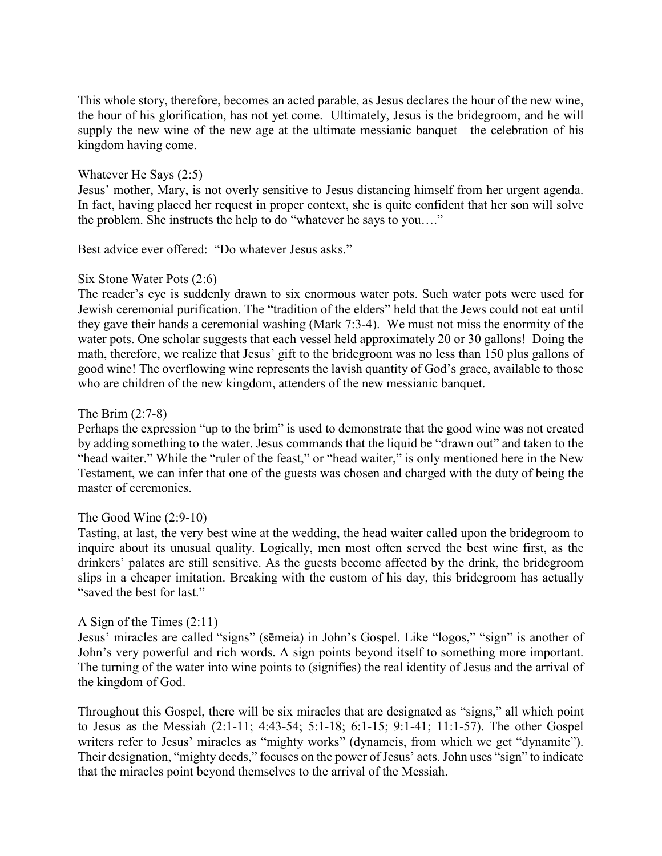This whole story, therefore, becomes an acted parable, as Jesus declares the hour of the new wine, the hour of his glorification, has not yet come. Ultimately, Jesus is the bridegroom, and he will supply the new wine of the new age at the ultimate messianic banquet—the celebration of his kingdom having come.

#### Whatever He Says (2:5)

Jesus' mother, Mary, is not overly sensitive to Jesus distancing himself from her urgent agenda. In fact, having placed her request in proper context, she is quite confident that her son will solve the problem. She instructs the help to do "whatever he says to you…."

Best advice ever offered: "Do whatever Jesus asks."

### Six Stone Water Pots (2:6)

The reader's eye is suddenly drawn to six enormous water pots. Such water pots were used for Jewish ceremonial purification. The "tradition of the elders" held that the Jews could not eat until they gave their hands a ceremonial washing (Mark 7:3-4). We must not miss the enormity of the water pots. One scholar suggests that each vessel held approximately 20 or 30 gallons! Doing the math, therefore, we realize that Jesus' gift to the bridegroom was no less than 150 plus gallons of good wine! The overflowing wine represents the lavish quantity of God's grace, available to those who are children of the new kingdom, attenders of the new messianic banquet.

#### The Brim (2:7-8)

Perhaps the expression "up to the brim" is used to demonstrate that the good wine was not created by adding something to the water. Jesus commands that the liquid be "drawn out" and taken to the "head waiter." While the "ruler of the feast," or "head waiter," is only mentioned here in the New Testament, we can infer that one of the guests was chosen and charged with the duty of being the master of ceremonies.

### The Good Wine (2:9-10)

Tasting, at last, the very best wine at the wedding, the head waiter called upon the bridegroom to inquire about its unusual quality. Logically, men most often served the best wine first, as the drinkers' palates are still sensitive. As the guests become affected by the drink, the bridegroom slips in a cheaper imitation. Breaking with the custom of his day, this bridegroom has actually "saved the best for last."

### A Sign of the Times (2:11)

Jesus' miracles are called "signs" (sēmeia) in John's Gospel. Like "logos," "sign" is another of John's very powerful and rich words. A sign points beyond itself to something more important. The turning of the water into wine points to (signifies) the real identity of Jesus and the arrival of the kingdom of God.

Throughout this Gospel, there will be six miracles that are designated as "signs," all which point to Jesus as the Messiah (2:1-11; 4:43-54; 5:1-18; 6:1-15; 9:1-41; 11:1-57). The other Gospel writers refer to Jesus' miracles as "mighty works" (dynameis, from which we get "dynamite"). Their designation, "mighty deeds," focuses on the power of Jesus' acts. John uses "sign" to indicate that the miracles point beyond themselves to the arrival of the Messiah.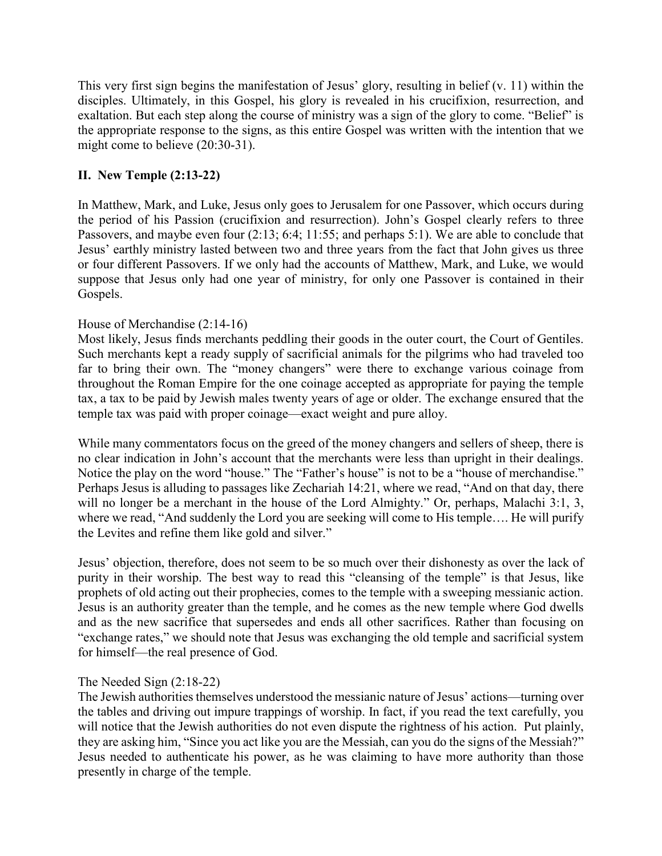This very first sign begins the manifestation of Jesus' glory, resulting in belief (v. 11) within the disciples. Ultimately, in this Gospel, his glory is revealed in his crucifixion, resurrection, and exaltation. But each step along the course of ministry was a sign of the glory to come. "Belief" is the appropriate response to the signs, as this entire Gospel was written with the intention that we might come to believe (20:30-31).

# **II. New Temple (2:13-22)**

In Matthew, Mark, and Luke, Jesus only goes to Jerusalem for one Passover, which occurs during the period of his Passion (crucifixion and resurrection). John's Gospel clearly refers to three Passovers, and maybe even four (2:13; 6:4; 11:55; and perhaps 5:1). We are able to conclude that Jesus' earthly ministry lasted between two and three years from the fact that John gives us three or four different Passovers. If we only had the accounts of Matthew, Mark, and Luke, we would suppose that Jesus only had one year of ministry, for only one Passover is contained in their Gospels.

## House of Merchandise (2:14-16)

Most likely, Jesus finds merchants peddling their goods in the outer court, the Court of Gentiles. Such merchants kept a ready supply of sacrificial animals for the pilgrims who had traveled too far to bring their own. The "money changers" were there to exchange various coinage from throughout the Roman Empire for the one coinage accepted as appropriate for paying the temple tax, a tax to be paid by Jewish males twenty years of age or older. The exchange ensured that the temple tax was paid with proper coinage—exact weight and pure alloy.

While many commentators focus on the greed of the money changers and sellers of sheep, there is no clear indication in John's account that the merchants were less than upright in their dealings. Notice the play on the word "house." The "Father's house" is not to be a "house of merchandise." Perhaps Jesus is alluding to passages like Zechariah 14:21, where we read, "And on that day, there will no longer be a merchant in the house of the Lord Almighty." Or, perhaps, Malachi 3:1, 3, where we read, "And suddenly the Lord you are seeking will come to His temple.... He will purify the Levites and refine them like gold and silver."

Jesus' objection, therefore, does not seem to be so much over their dishonesty as over the lack of purity in their worship. The best way to read this "cleansing of the temple" is that Jesus, like prophets of old acting out their prophecies, comes to the temple with a sweeping messianic action. Jesus is an authority greater than the temple, and he comes as the new temple where God dwells and as the new sacrifice that supersedes and ends all other sacrifices. Rather than focusing on "exchange rates," we should note that Jesus was exchanging the old temple and sacrificial system for himself—the real presence of God.

## The Needed Sign (2:18-22)

The Jewish authorities themselves understood the messianic nature of Jesus' actions—turning over the tables and driving out impure trappings of worship. In fact, if you read the text carefully, you will notice that the Jewish authorities do not even dispute the rightness of his action. Put plainly, they are asking him, "Since you act like you are the Messiah, can you do the signs of the Messiah?" Jesus needed to authenticate his power, as he was claiming to have more authority than those presently in charge of the temple.